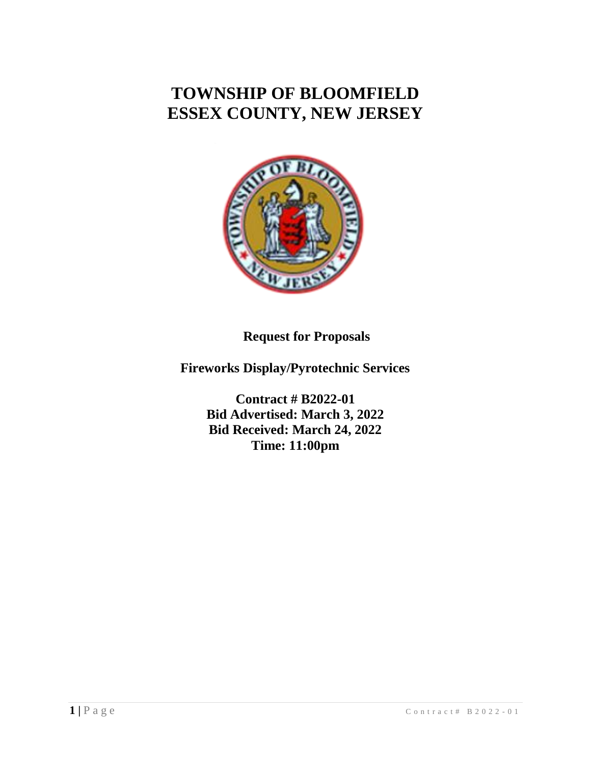# **TOWNSHIP OF BLOOMFIELD ESSEX COUNTY, NEW JERSEY**



**Request for Proposals**

**Fireworks Display/Pyrotechnic Services**

**Contract # B2022-01 Bid Advertised: March 3, 2022 Bid Received: March 24, 2022 Time: 11:00pm**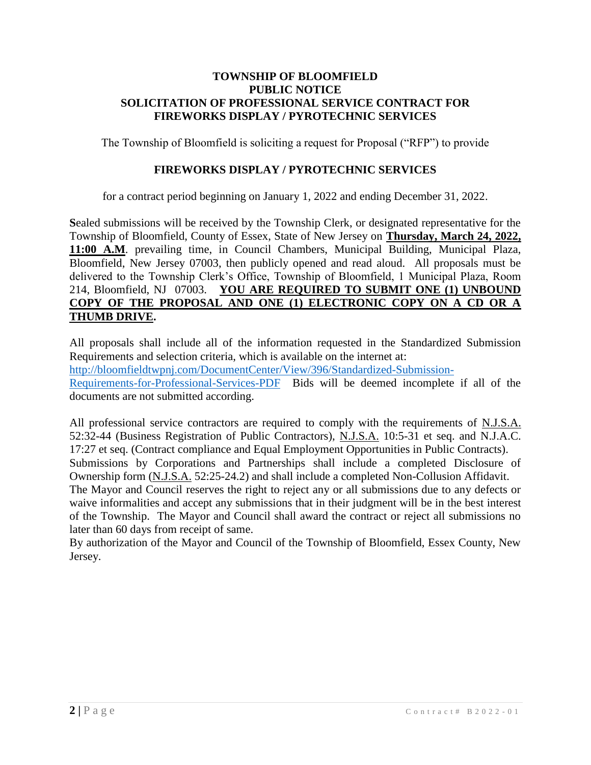### **TOWNSHIP OF BLOOMFIELD PUBLIC NOTICE SOLICITATION OF PROFESSIONAL SERVICE CONTRACT FOR FIREWORKS DISPLAY / PYROTECHNIC SERVICES**

The Township of Bloomfield is soliciting a request for Proposal ("RFP") to provide

# **FIREWORKS DISPLAY / PYROTECHNIC SERVICES**

for a contract period beginning on January 1, 2022 and ending December 31, 2022.

**S**ealed submissions will be received by the Township Clerk, or designated representative for the Township of Bloomfield, County of Essex, State of New Jersey on **Thursday, March 24, 2022, 11:00 A.M**. prevailing time, in Council Chambers, Municipal Building, Municipal Plaza, Bloomfield, New Jersey 07003, then publicly opened and read aloud. All proposals must be delivered to the Township Clerk's Office, Township of Bloomfield, 1 Municipal Plaza, Room 214, Bloomfield, NJ 07003. **YOU ARE REQUIRED TO SUBMIT ONE (1) UNBOUND COPY OF THE PROPOSAL AND ONE (1) ELECTRONIC COPY ON A CD OR A THUMB DRIVE.**

All proposals shall include all of the information requested in the Standardized Submission Requirements and selection criteria, which is available on the internet at: [http://bloomfieldtwpnj.com/DocumentCenter/View/396/Standardized-Submission-](http://bloomfieldtwpnj.com/DocumentCenter/View/396/Standardized-Submission-Requirements-for-Professional-Services-PDF)[Requirements-for-Professional-Services-PDF](http://bloomfieldtwpnj.com/DocumentCenter/View/396/Standardized-Submission-Requirements-for-Professional-Services-PDF) Bids will be deemed incomplete if all of the

documents are not submitted according.

All professional service contractors are required to comply with the requirements of N.J.S.A. 52:32-44 (Business Registration of Public Contractors), N.J.S.A. 10:5-31 et seq. and N.J.A.C. 17:27 et seq. (Contract compliance and Equal Employment Opportunities in Public Contracts).

Submissions by Corporations and Partnerships shall include a completed Disclosure of Ownership form (N.J.S.A. 52:25-24.2) and shall include a completed Non-Collusion Affidavit.

The Mayor and Council reserves the right to reject any or all submissions due to any defects or waive informalities and accept any submissions that in their judgment will be in the best interest of the Township. The Mayor and Council shall award the contract or reject all submissions no later than 60 days from receipt of same.

By authorization of the Mayor and Council of the Township of Bloomfield, Essex County, New Jersey.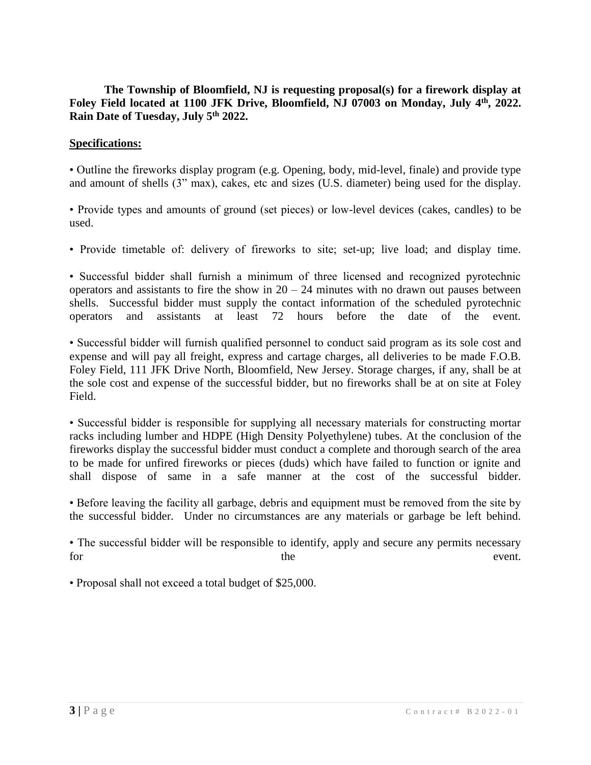# **The Township of Bloomfield, NJ is requesting proposal(s) for a firework display at Foley Field located at 1100 JFK Drive, Bloomfield, NJ 07003 on Monday, July 4th, 2022. Rain Date of Tuesday, July 5th 2022.**

# **Specifications:**

• Outline the fireworks display program (e.g. Opening, body, mid-level, finale) and provide type and amount of shells (3" max), cakes, etc and sizes (U.S. diameter) being used for the display.

• Provide types and amounts of ground (set pieces) or low-level devices (cakes, candles) to be used.

• Provide timetable of: delivery of fireworks to site; set-up; live load; and display time.

• Successful bidder shall furnish a minimum of three licensed and recognized pyrotechnic operators and assistants to fire the show in  $20 - 24$  minutes with no drawn out pauses between shells. Successful bidder must supply the contact information of the scheduled pyrotechnic operators and assistants at least 72 hours before the date of the event.

• Successful bidder will furnish qualified personnel to conduct said program as its sole cost and expense and will pay all freight, express and cartage charges, all deliveries to be made F.O.B. Foley Field, 111 JFK Drive North, Bloomfield, New Jersey. Storage charges, if any, shall be at the sole cost and expense of the successful bidder, but no fireworks shall be at on site at Foley Field.

• Successful bidder is responsible for supplying all necessary materials for constructing mortar racks including lumber and HDPE (High Density Polyethylene) tubes. At the conclusion of the fireworks display the successful bidder must conduct a complete and thorough search of the area to be made for unfired fireworks or pieces (duds) which have failed to function or ignite and shall dispose of same in a safe manner at the cost of the successful bidder.

• Before leaving the facility all garbage, debris and equipment must be removed from the site by the successful bidder. Under no circumstances are any materials or garbage be left behind.

• The successful bidder will be responsible to identify, apply and secure any permits necessary for the the event.

• Proposal shall not exceed a total budget of \$25,000.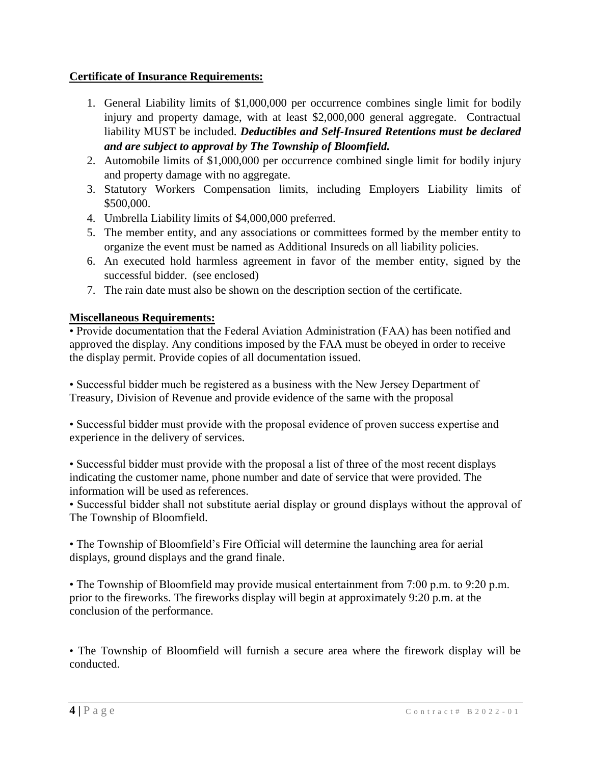# **Certificate of Insurance Requirements:**

- 1. General Liability limits of \$1,000,000 per occurrence combines single limit for bodily injury and property damage, with at least \$2,000,000 general aggregate. Contractual liability MUST be included. *Deductibles and Self-Insured Retentions must be declared and are subject to approval by The Township of Bloomfield.*
- 2. Automobile limits of \$1,000,000 per occurrence combined single limit for bodily injury and property damage with no aggregate.
- 3. Statutory Workers Compensation limits, including Employers Liability limits of \$500,000.
- 4. Umbrella Liability limits of \$4,000,000 preferred.
- 5. The member entity, and any associations or committees formed by the member entity to organize the event must be named as Additional Insureds on all liability policies.
- 6. An executed hold harmless agreement in favor of the member entity, signed by the successful bidder. (see enclosed)
- 7. The rain date must also be shown on the description section of the certificate.

# **Miscellaneous Requirements:**

• Provide documentation that the Federal Aviation Administration (FAA) has been notified and approved the display. Any conditions imposed by the FAA must be obeyed in order to receive the display permit. Provide copies of all documentation issued.

• Successful bidder much be registered as a business with the New Jersey Department of Treasury, Division of Revenue and provide evidence of the same with the proposal

• Successful bidder must provide with the proposal evidence of proven success expertise and experience in the delivery of services.

• Successful bidder must provide with the proposal a list of three of the most recent displays indicating the customer name, phone number and date of service that were provided. The information will be used as references.

• Successful bidder shall not substitute aerial display or ground displays without the approval of The Township of Bloomfield.

• The Township of Bloomfield's Fire Official will determine the launching area for aerial displays, ground displays and the grand finale.

• The Township of Bloomfield may provide musical entertainment from 7:00 p.m. to 9:20 p.m. prior to the fireworks. The fireworks display will begin at approximately 9:20 p.m. at the conclusion of the performance.

• The Township of Bloomfield will furnish a secure area where the firework display will be conducted.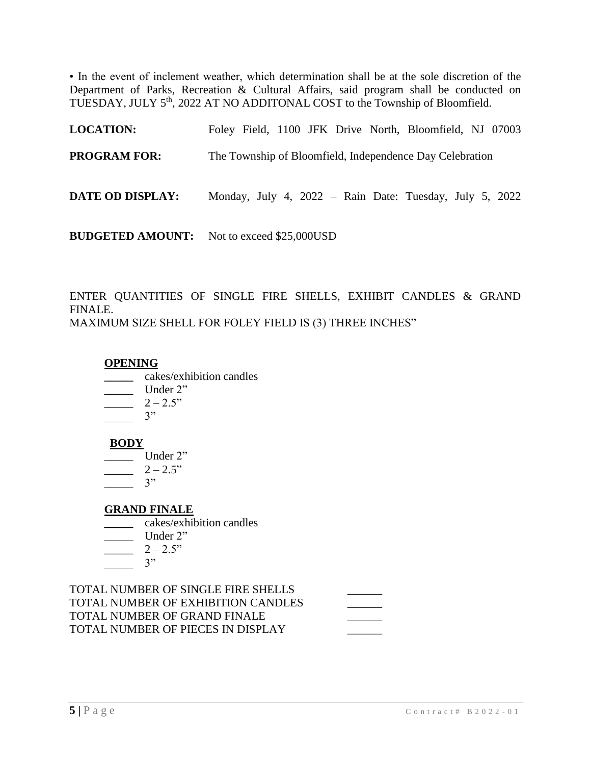• In the event of inclement weather, which determination shall be at the sole discretion of the Department of Parks, Recreation & Cultural Affairs, said program shall be conducted on TUESDAY, JULY 5<sup>th</sup>, 2022 AT NO ADDITONAL COST to the Township of Bloomfield.

| <b>LOCATION:</b>    | Foley Field, 1100 JFK Drive North, Bloomfield, NJ 07003  |
|---------------------|----------------------------------------------------------|
| <b>PROGRAM FOR:</b> | The Township of Bloomfield, Independence Day Celebration |
| DATE OD DISPLAY:    | Monday, July 4, 2022 – Rain Date: Tuesday, July 5, 2022  |
|                     | <b>BUDGETED AMOUNT:</b> Not to exceed \$25,000USD        |

ENTER QUANTITIES OF SINGLE FIRE SHELLS, EXHIBIT CANDLES & GRAND FINALE. MAXIMUM SIZE SHELL FOR FOLEY FIELD IS (3) THREE INCHES"

#### **OPENING**

- **\_\_\_\_\_** cakes/exhibition candles
- $\frac{\phantom{1}}{2\cdot\phantom{1}}$  Under 2"
- $2 2.5"$
- $3"$

#### **BODY**

- \_\_\_\_\_ Under 2"
- $-2-2.5"$
- $\frac{3^n}{2^n}$

# **GRAND FINALE**

- **\_\_\_\_\_** cakes/exhibition candles
- \_\_\_\_\_ Under 2"
- $-2-2.5"$
- $\overline{\phantom{0}3"}$

TOTAL NUMBER OF SINGLE FIRE SHELLS TOTAL NUMBER OF EXHIBITION CANDLES TOTAL NUMBER OF GRAND FINALE TOTAL NUMBER OF PIECES IN DISPLAY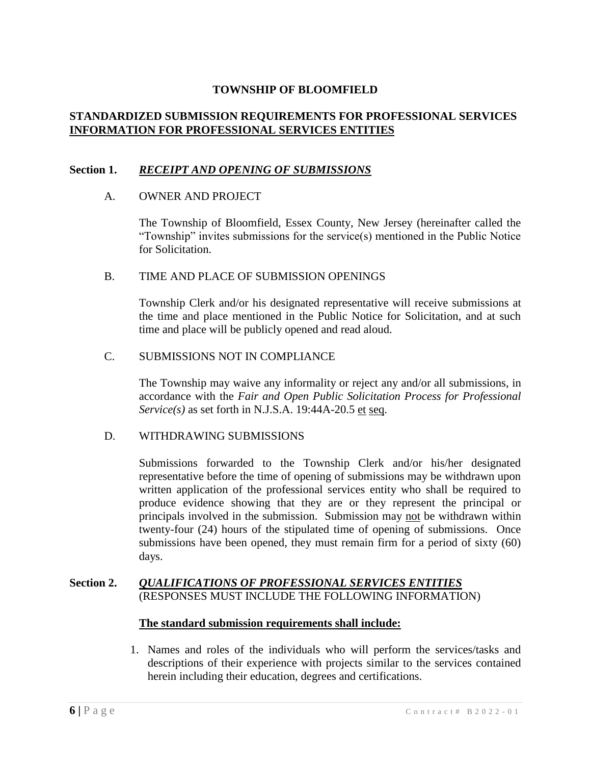# **STANDARDIZED SUBMISSION REQUIREMENTS FOR PROFESSIONAL SERVICES INFORMATION FOR PROFESSIONAL SERVICES ENTITIES**

# **Section 1.** *RECEIPT AND OPENING OF SUBMISSIONS*

### A. OWNER AND PROJECT

The Township of Bloomfield, Essex County, New Jersey (hereinafter called the "Township" invites submissions for the service(s) mentioned in the Public Notice for Solicitation.

#### B. TIME AND PLACE OF SUBMISSION OPENINGS

Township Clerk and/or his designated representative will receive submissions at the time and place mentioned in the Public Notice for Solicitation, and at such time and place will be publicly opened and read aloud.

### C. SUBMISSIONS NOT IN COMPLIANCE

The Township may waive any informality or reject any and/or all submissions, in accordance with the *Fair and Open Public Solicitation Process for Professional Service(s)* as set forth in N.J.S.A. 19:44A-20.5 et seq.

# D. WITHDRAWING SUBMISSIONS

Submissions forwarded to the Township Clerk and/or his/her designated representative before the time of opening of submissions may be withdrawn upon written application of the professional services entity who shall be required to produce evidence showing that they are or they represent the principal or principals involved in the submission. Submission may not be withdrawn within twenty-four (24) hours of the stipulated time of opening of submissions. Once submissions have been opened, they must remain firm for a period of sixty (60) days.

### **Section 2.** *QUALIFICATIONS OF PROFESSIONAL SERVICES ENTITIES* (RESPONSES MUST INCLUDE THE FOLLOWING INFORMATION)

#### **The standard submission requirements shall include:**

1. Names and roles of the individuals who will perform the services/tasks and descriptions of their experience with projects similar to the services contained herein including their education, degrees and certifications.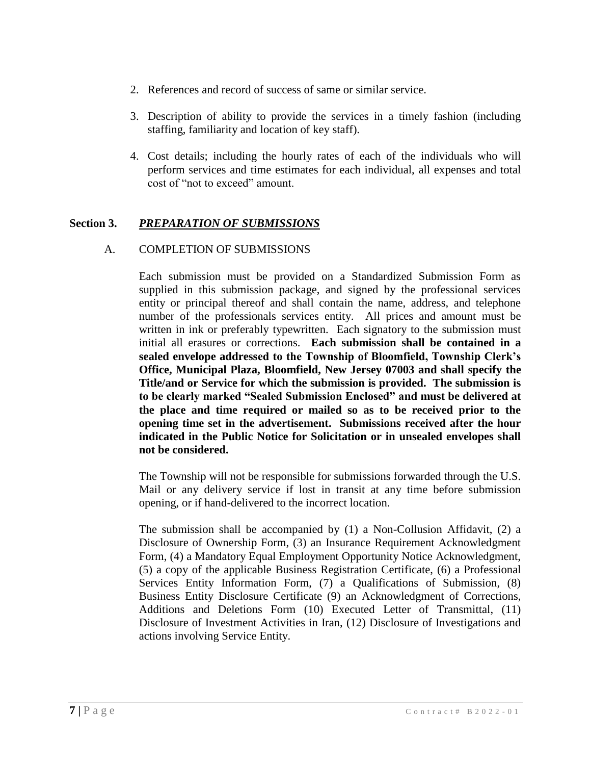- 2. References and record of success of same or similar service.
- 3. Description of ability to provide the services in a timely fashion (including staffing, familiarity and location of key staff).
- 4. Cost details; including the hourly rates of each of the individuals who will perform services and time estimates for each individual, all expenses and total cost of "not to exceed" amount.

# **Section 3.** *PREPARATION OF SUBMISSIONS*

# A. COMPLETION OF SUBMISSIONS

Each submission must be provided on a Standardized Submission Form as supplied in this submission package, and signed by the professional services entity or principal thereof and shall contain the name, address, and telephone number of the professionals services entity. All prices and amount must be written in ink or preferably typewritten. Each signatory to the submission must initial all erasures or corrections. **Each submission shall be contained in a sealed envelope addressed to the Township of Bloomfield, Township Clerk's Office, Municipal Plaza, Bloomfield, New Jersey 07003 and shall specify the Title/and or Service for which the submission is provided. The submission is to be clearly marked "Sealed Submission Enclosed" and must be delivered at the place and time required or mailed so as to be received prior to the opening time set in the advertisement. Submissions received after the hour indicated in the Public Notice for Solicitation or in unsealed envelopes shall not be considered.**

The Township will not be responsible for submissions forwarded through the U.S. Mail or any delivery service if lost in transit at any time before submission opening, or if hand-delivered to the incorrect location.

The submission shall be accompanied by (1) a Non-Collusion Affidavit, (2) a Disclosure of Ownership Form, (3) an Insurance Requirement Acknowledgment Form, (4) a Mandatory Equal Employment Opportunity Notice Acknowledgment, (5) a copy of the applicable Business Registration Certificate, (6) a Professional Services Entity Information Form, (7) a Qualifications of Submission, (8) Business Entity Disclosure Certificate (9) an Acknowledgment of Corrections, Additions and Deletions Form (10) Executed Letter of Transmittal, (11) Disclosure of Investment Activities in Iran, (12) Disclosure of Investigations and actions involving Service Entity.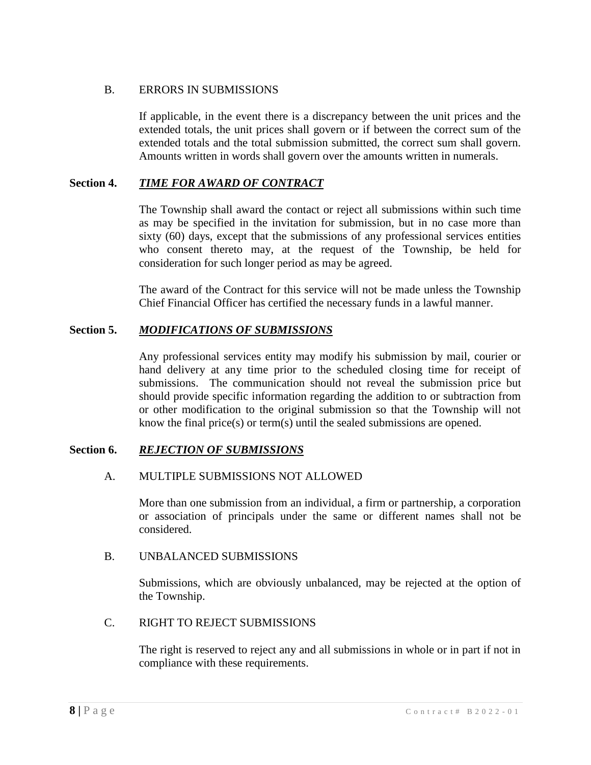# B. ERRORS IN SUBMISSIONS

If applicable, in the event there is a discrepancy between the unit prices and the extended totals, the unit prices shall govern or if between the correct sum of the extended totals and the total submission submitted, the correct sum shall govern. Amounts written in words shall govern over the amounts written in numerals.

# **Section 4.** *TIME FOR AWARD OF CONTRACT*

The Township shall award the contact or reject all submissions within such time as may be specified in the invitation for submission, but in no case more than sixty (60) days, except that the submissions of any professional services entities who consent thereto may, at the request of the Township, be held for consideration for such longer period as may be agreed.

The award of the Contract for this service will not be made unless the Township Chief Financial Officer has certified the necessary funds in a lawful manner.

# **Section 5.** *MODIFICATIONS OF SUBMISSIONS*

Any professional services entity may modify his submission by mail, courier or hand delivery at any time prior to the scheduled closing time for receipt of submissions. The communication should not reveal the submission price but should provide specific information regarding the addition to or subtraction from or other modification to the original submission so that the Township will not know the final price(s) or term(s) until the sealed submissions are opened.

# **Section 6.** *REJECTION OF SUBMISSIONS*

# A. MULTIPLE SUBMISSIONS NOT ALLOWED

More than one submission from an individual, a firm or partnership, a corporation or association of principals under the same or different names shall not be considered.

# B. UNBALANCED SUBMISSIONS

Submissions, which are obviously unbalanced, may be rejected at the option of the Township.

# C. RIGHT TO REJECT SUBMISSIONS

The right is reserved to reject any and all submissions in whole or in part if not in compliance with these requirements.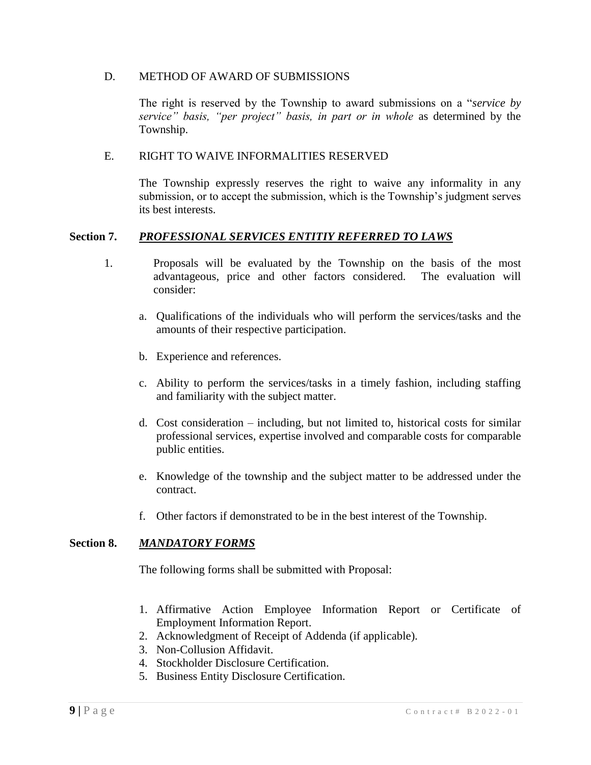### D. METHOD OF AWARD OF SUBMISSIONS

The right is reserved by the Township to award submissions on a "*service by service" basis, "per project" basis, in part or in whole* as determined by the Township.

### E. RIGHT TO WAIVE INFORMALITIES RESERVED

The Township expressly reserves the right to waive any informality in any submission, or to accept the submission, which is the Township's judgment serves its best interests.

### **Section 7.** *PROFESSIONAL SERVICES ENTITIY REFERRED TO LAWS*

- 1. Proposals will be evaluated by the Township on the basis of the most advantageous, price and other factors considered. The evaluation will consider:
	- a. Qualifications of the individuals who will perform the services/tasks and the amounts of their respective participation.
	- b. Experience and references.
	- c. Ability to perform the services/tasks in a timely fashion, including staffing and familiarity with the subject matter.
	- d. Cost consideration including, but not limited to, historical costs for similar professional services, expertise involved and comparable costs for comparable public entities.
	- e. Knowledge of the township and the subject matter to be addressed under the contract.
	- f. Other factors if demonstrated to be in the best interest of the Township.

#### **Section 8.** *MANDATORY FORMS*

The following forms shall be submitted with Proposal:

- 1. Affirmative Action Employee Information Report or Certificate of Employment Information Report.
- 2. Acknowledgment of Receipt of Addenda (if applicable).
- 3. Non-Collusion Affidavit.
- 4. Stockholder Disclosure Certification.
- 5. Business Entity Disclosure Certification.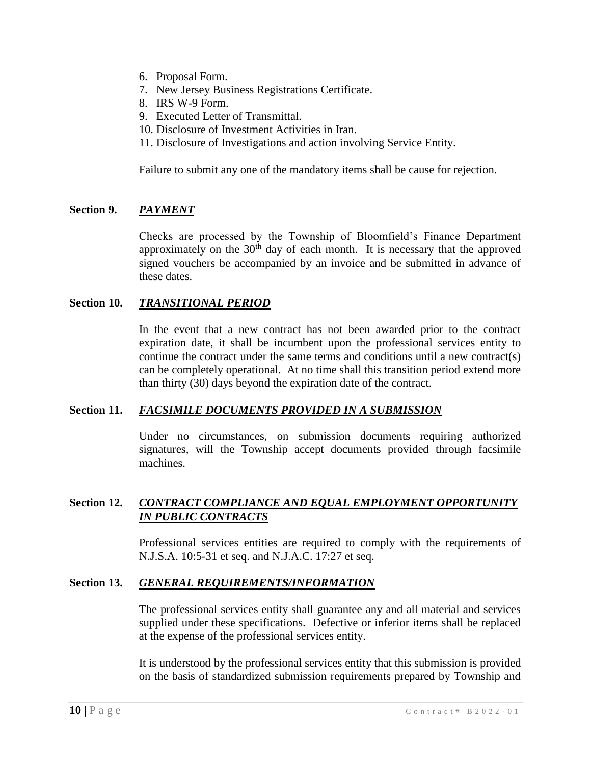- 6. Proposal Form.
- 7. New Jersey Business Registrations Certificate.
- 8. IRS W-9 Form.
- 9. Executed Letter of Transmittal.
- 10. Disclosure of Investment Activities in Iran.
- 11. Disclosure of Investigations and action involving Service Entity.

Failure to submit any one of the mandatory items shall be cause for rejection.

# **Section 9.** *PAYMENT*

Checks are processed by the Township of Bloomfield's Finance Department approximately on the  $30<sup>th</sup>$  day of each month. It is necessary that the approved signed vouchers be accompanied by an invoice and be submitted in advance of these dates.

#### **Section 10.** *TRANSITIONAL PERIOD*

In the event that a new contract has not been awarded prior to the contract expiration date, it shall be incumbent upon the professional services entity to continue the contract under the same terms and conditions until a new contract(s) can be completely operational. At no time shall this transition period extend more than thirty (30) days beyond the expiration date of the contract.

#### **Section 11.** *FACSIMILE DOCUMENTS PROVIDED IN A SUBMISSION*

Under no circumstances, on submission documents requiring authorized signatures, will the Township accept documents provided through facsimile machines.

# **Section 12.** *CONTRACT COMPLIANCE AND EQUAL EMPLOYMENT OPPORTUNITY IN PUBLIC CONTRACTS*

Professional services entities are required to comply with the requirements of N.J.S.A. 10:5-31 et seq. and N.J.A.C. 17:27 et seq.

#### **Section 13.** *GENERAL REQUIREMENTS/INFORMATION*

The professional services entity shall guarantee any and all material and services supplied under these specifications. Defective or inferior items shall be replaced at the expense of the professional services entity.

It is understood by the professional services entity that this submission is provided on the basis of standardized submission requirements prepared by Township and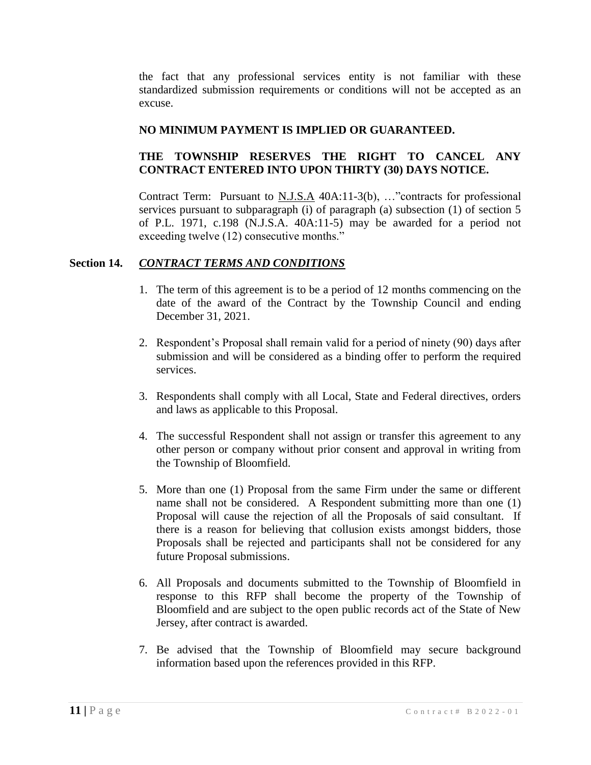the fact that any professional services entity is not familiar with these standardized submission requirements or conditions will not be accepted as an excuse.

# **NO MINIMUM PAYMENT IS IMPLIED OR GUARANTEED.**

# **THE TOWNSHIP RESERVES THE RIGHT TO CANCEL ANY CONTRACT ENTERED INTO UPON THIRTY (30) DAYS NOTICE.**

Contract Term: Pursuant to N.J.S.A 40A:11-3(b), …"contracts for professional services pursuant to subparagraph (i) of paragraph (a) subsection (1) of section 5 of P.L. 1971, c.198 (N.J.S.A. 40A:11-5) may be awarded for a period not exceeding twelve (12) consecutive months."

# **Section 14.** *CONTRACT TERMS AND CONDITIONS*

- 1. The term of this agreement is to be a period of 12 months commencing on the date of the award of the Contract by the Township Council and ending December 31, 2021.
- 2. Respondent's Proposal shall remain valid for a period of ninety (90) days after submission and will be considered as a binding offer to perform the required services.
- 3. Respondents shall comply with all Local, State and Federal directives, orders and laws as applicable to this Proposal.
- 4. The successful Respondent shall not assign or transfer this agreement to any other person or company without prior consent and approval in writing from the Township of Bloomfield.
- 5. More than one (1) Proposal from the same Firm under the same or different name shall not be considered. A Respondent submitting more than one (1) Proposal will cause the rejection of all the Proposals of said consultant. If there is a reason for believing that collusion exists amongst bidders, those Proposals shall be rejected and participants shall not be considered for any future Proposal submissions.
- 6. All Proposals and documents submitted to the Township of Bloomfield in response to this RFP shall become the property of the Township of Bloomfield and are subject to the open public records act of the State of New Jersey, after contract is awarded.
- 7. Be advised that the Township of Bloomfield may secure background information based upon the references provided in this RFP.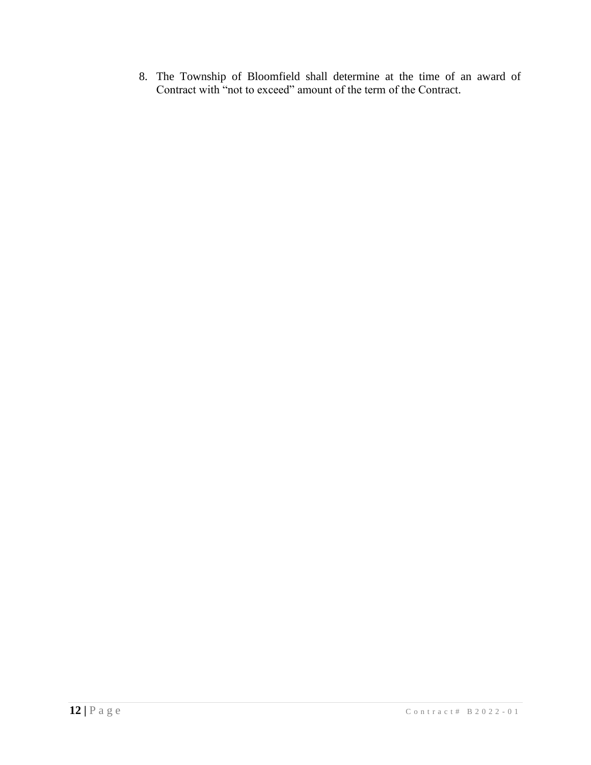8. The Township of Bloomfield shall determine at the time of an award of Contract with "not to exceed" amount of the term of the Contract.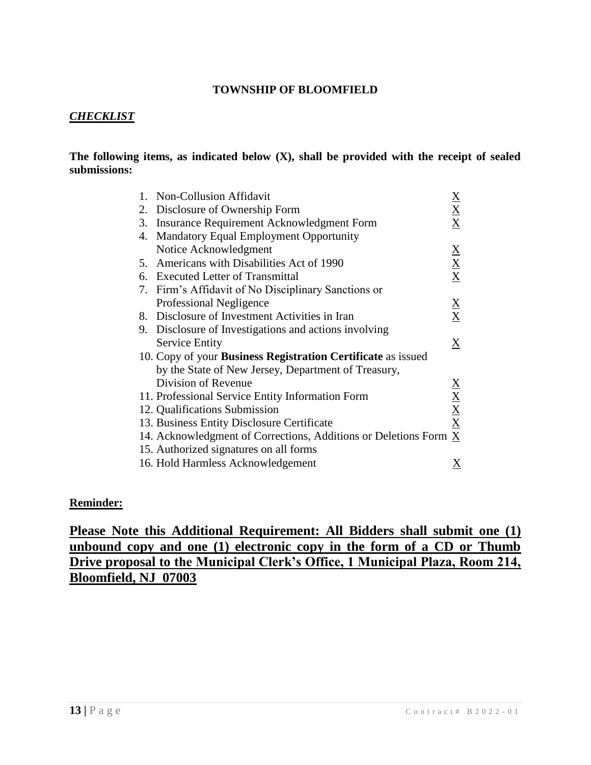# *CHECKLIST*

### **The following items, as indicated below (X), shall be provided with the receipt of sealed submissions:**

| 1. | <b>Non-Collusion Affidavit</b>                                      | $\underline{\mathbf{X}}$        |
|----|---------------------------------------------------------------------|---------------------------------|
| 2. | Disclosure of Ownership Form                                        | $\frac{X}{X}$                   |
| 3. | Insurance Requirement Acknowledgment Form                           |                                 |
| 4. | <b>Mandatory Equal Employment Opportunity</b>                       |                                 |
|    | Notice Acknowledgment                                               |                                 |
|    | 5. Americans with Disabilities Act of 1990                          | $\frac{X}{X}$                   |
|    | 6. Executed Letter of Transmittal                                   |                                 |
|    | 7. Firm's Affidavit of No Disciplinary Sanctions or                 |                                 |
|    | Professional Negligence                                             |                                 |
|    | 8. Disclosure of Investment Activities in Iran                      | $\frac{\mathbf{X}}{\mathbf{X}}$ |
|    | 9. Disclosure of Investigations and actions involving               |                                 |
|    | <b>Service Entity</b>                                               | $\underline{X}$                 |
|    | 10. Copy of your <b>Business Registration Certificate</b> as issued |                                 |
|    | by the State of New Jersey, Department of Treasury,                 |                                 |
|    | Division of Revenue                                                 |                                 |
|    | 11. Professional Service Entity Information Form                    | $\frac{X}{X}}{X}$               |
|    | 12. Qualifications Submission                                       |                                 |
|    | 13. Business Entity Disclosure Certificate                          |                                 |
|    | 14. Acknowledgment of Corrections, Additions or Deletions Form X    |                                 |
|    | 15. Authorized signatures on all forms                              |                                 |
|    | 16. Hold Harmless Acknowledgement                                   | Χ                               |

#### **Reminder:**

**Please Note this Additional Requirement: All Bidders shall submit one (1) unbound copy and one (1) electronic copy in the form of a CD or Thumb Drive proposal to the Municipal Clerk's Office, 1 Municipal Plaza, Room 214, Bloomfield, NJ 07003**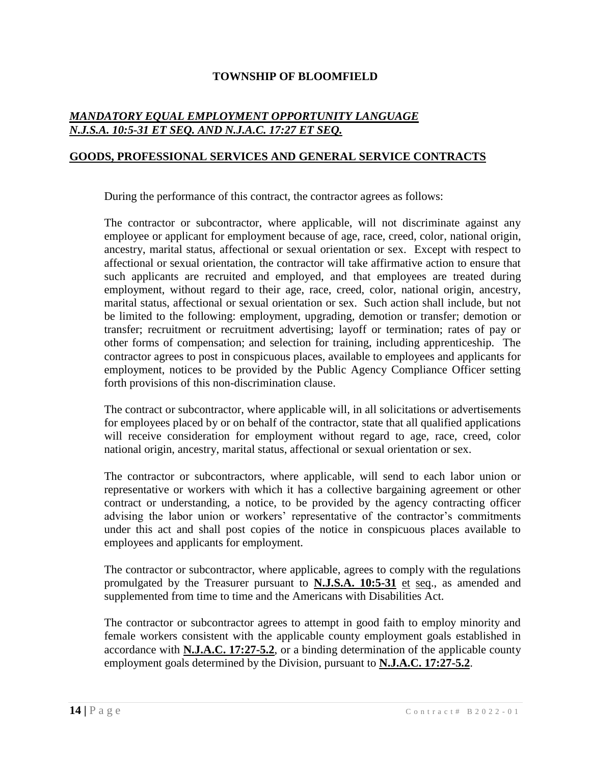# *MANDATORY EQUAL EMPLOYMENT OPPORTUNITY LANGUAGE N.J.S.A. 10:5-31 ET SEQ. AND N.J.A.C. 17:27 ET SEQ.*

### **GOODS, PROFESSIONAL SERVICES AND GENERAL SERVICE CONTRACTS**

During the performance of this contract, the contractor agrees as follows:

The contractor or subcontractor, where applicable, will not discriminate against any employee or applicant for employment because of age, race, creed, color, national origin, ancestry, marital status, affectional or sexual orientation or sex. Except with respect to affectional or sexual orientation, the contractor will take affirmative action to ensure that such applicants are recruited and employed, and that employees are treated during employment, without regard to their age, race, creed, color, national origin, ancestry, marital status, affectional or sexual orientation or sex. Such action shall include, but not be limited to the following: employment, upgrading, demotion or transfer; demotion or transfer; recruitment or recruitment advertising; layoff or termination; rates of pay or other forms of compensation; and selection for training, including apprenticeship. The contractor agrees to post in conspicuous places, available to employees and applicants for employment, notices to be provided by the Public Agency Compliance Officer setting forth provisions of this non-discrimination clause.

The contract or subcontractor, where applicable will, in all solicitations or advertisements for employees placed by or on behalf of the contractor, state that all qualified applications will receive consideration for employment without regard to age, race, creed, color national origin, ancestry, marital status, affectional or sexual orientation or sex.

The contractor or subcontractors, where applicable, will send to each labor union or representative or workers with which it has a collective bargaining agreement or other contract or understanding, a notice, to be provided by the agency contracting officer advising the labor union or workers' representative of the contractor's commitments under this act and shall post copies of the notice in conspicuous places available to employees and applicants for employment.

The contractor or subcontractor, where applicable, agrees to comply with the regulations promulgated by the Treasurer pursuant to **N.J.S.A. 10:5-31** et seq., as amended and supplemented from time to time and the Americans with Disabilities Act.

The contractor or subcontractor agrees to attempt in good faith to employ minority and female workers consistent with the applicable county employment goals established in accordance with **N.J.A.C. 17:27-5.2**, or a binding determination of the applicable county employment goals determined by the Division, pursuant to **N.J.A.C. 17:27-5.2**.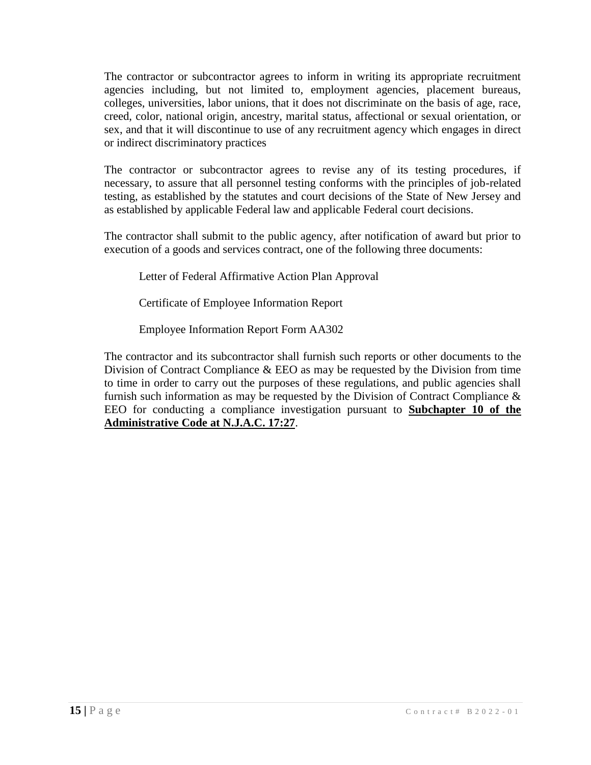The contractor or subcontractor agrees to inform in writing its appropriate recruitment agencies including, but not limited to, employment agencies, placement bureaus, colleges, universities, labor unions, that it does not discriminate on the basis of age, race, creed, color, national origin, ancestry, marital status, affectional or sexual orientation, or sex, and that it will discontinue to use of any recruitment agency which engages in direct or indirect discriminatory practices

The contractor or subcontractor agrees to revise any of its testing procedures, if necessary, to assure that all personnel testing conforms with the principles of job-related testing, as established by the statutes and court decisions of the State of New Jersey and as established by applicable Federal law and applicable Federal court decisions.

The contractor shall submit to the public agency, after notification of award but prior to execution of a goods and services contract, one of the following three documents:

Letter of Federal Affirmative Action Plan Approval

Certificate of Employee Information Report

Employee Information Report Form AA302

The contractor and its subcontractor shall furnish such reports or other documents to the Division of Contract Compliance & EEO as may be requested by the Division from time to time in order to carry out the purposes of these regulations, and public agencies shall furnish such information as may be requested by the Division of Contract Compliance & EEO for conducting a compliance investigation pursuant to **Subchapter 10 of the Administrative Code at N.J.A.C. 17:27**.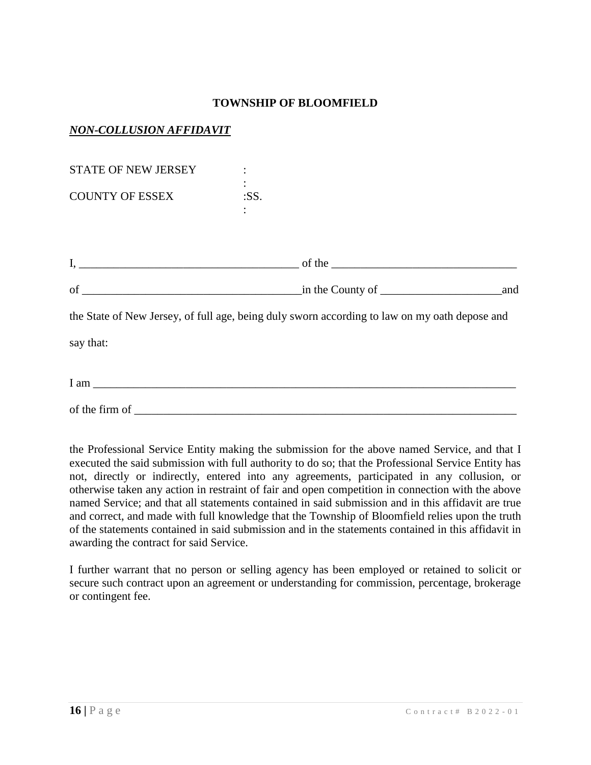# *NON-COLLUSION AFFIDAVIT*

| <b>STATE OF NEW JERSEY</b>      |                                                                                               |     |
|---------------------------------|-----------------------------------------------------------------------------------------------|-----|
| <b>COUNTY OF ESSEX</b>          | :SS.                                                                                          |     |
|                                 |                                                                                               |     |
|                                 |                                                                                               |     |
|                                 | $\frac{1}{2}$ in the County of $\frac{1}{2}$                                                  | and |
|                                 | the State of New Jersey, of full age, being duly sworn according to law on my oath depose and |     |
| say that:                       |                                                                                               |     |
| $I$ am $\overline{\phantom{a}}$ |                                                                                               |     |

the Professional Service Entity making the submission for the above named Service, and that I executed the said submission with full authority to do so; that the Professional Service Entity has not, directly or indirectly, entered into any agreements, participated in any collusion, or otherwise taken any action in restraint of fair and open competition in connection with the above named Service; and that all statements contained in said submission and in this affidavit are true and correct, and made with full knowledge that the Township of Bloomfield relies upon the truth of the statements contained in said submission and in the statements contained in this affidavit in awarding the contract for said Service.

of the firm of \_\_\_\_\_\_\_\_\_\_\_\_\_\_\_\_\_\_\_\_\_\_\_\_\_\_\_\_\_\_\_\_\_\_\_\_\_\_\_\_\_\_\_\_\_\_\_\_\_\_\_\_\_\_\_\_\_\_\_\_\_\_\_\_\_\_

I further warrant that no person or selling agency has been employed or retained to solicit or secure such contract upon an agreement or understanding for commission, percentage, brokerage or contingent fee.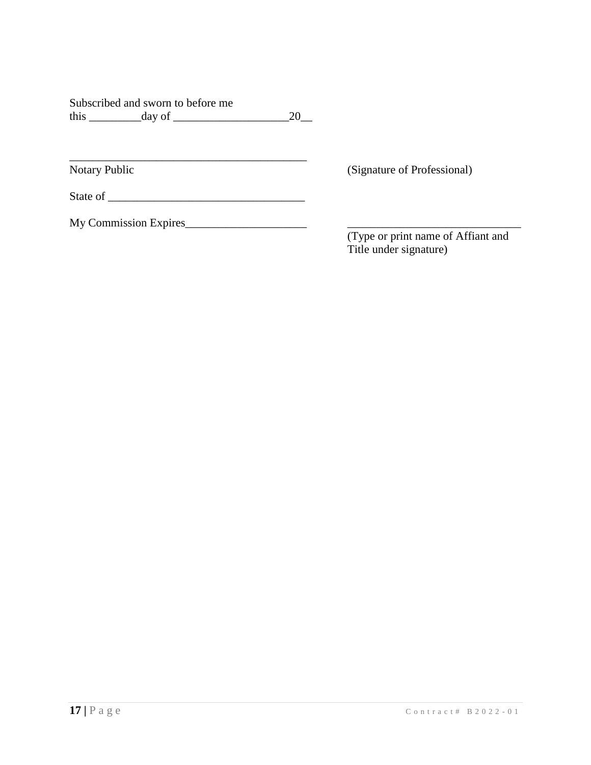|      | Subscribed and sworn to before me |    |
|------|-----------------------------------|----|
| this | day of                            | 20 |

Notary Public (Signature of Professional)

State of \_\_\_\_\_\_\_\_\_\_\_\_\_\_\_\_\_\_\_\_\_\_\_\_\_\_\_\_\_\_\_\_\_\_

\_\_\_\_\_\_\_\_\_\_\_\_\_\_\_\_\_\_\_\_\_\_\_\_\_\_\_\_\_\_\_\_\_\_\_\_\_\_\_\_\_

My Commission Expires\_\_\_\_\_\_\_\_\_\_\_\_\_\_\_\_\_\_\_\_\_ \_\_\_\_\_\_\_\_\_\_\_\_\_\_\_\_\_\_\_\_\_\_\_\_\_\_\_\_\_\_

(Type or print name of Affiant and Title under signature)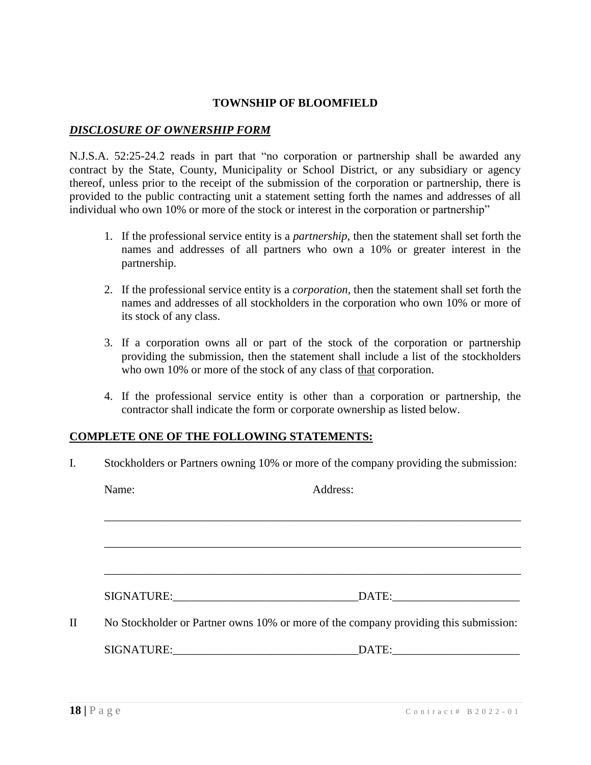# *DISCLOSURE OF OWNERSHIP FORM*

N.J.S.A. 52:25-24.2 reads in part that "no corporation or partnership shall be awarded any contract by the State, County, Municipality or School District, or any subsidiary or agency thereof, unless prior to the receipt of the submission of the corporation or partnership, there is provided to the public contracting unit a statement setting forth the names and addresses of all individual who own 10% or more of the stock or interest in the corporation or partnership"

- 1. If the professional service entity is a *partnership*, then the statement shall set forth the names and addresses of all partners who own a 10% or greater interest in the partnership.
- 2. If the professional service entity is a *corporation*, then the statement shall set forth the names and addresses of all stockholders in the corporation who own 10% or more of its stock of any class.
- 3. If a corporation owns all or part of the stock of the corporation or partnership providing the submission, then the statement shall include a list of the stockholders who own 10% or more of the stock of any class of that corporation.
- 4. If the professional service entity is other than a corporation or partnership, the contractor shall indicate the form or corporate ownership as listed below.

#### **COMPLETE ONE OF THE FOLLOWING STATEMENTS:**

I. Stockholders or Partners owning 10% or more of the company providing the submission:

|   | Name: | Address:                                                                             |
|---|-------|--------------------------------------------------------------------------------------|
|   |       |                                                                                      |
|   |       |                                                                                      |
|   |       |                                                                                      |
|   |       |                                                                                      |
| П |       | No Stockholder or Partner owns 10% or more of the company providing this submission: |
|   |       |                                                                                      |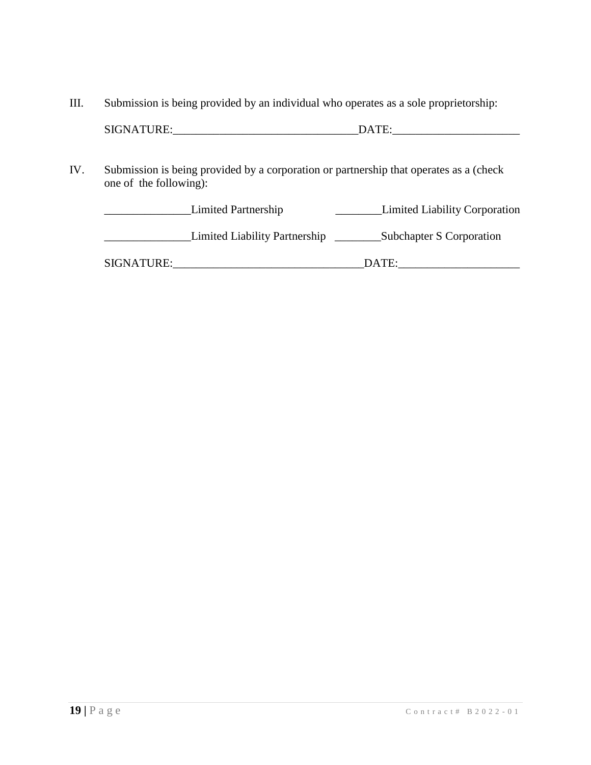III. Submission is being provided by an individual who operates as a sole proprietorship:

| <b>SIGNATURE:</b><br>. <u>. .</u> |
|-----------------------------------|
|-----------------------------------|

IV. Submission is being provided by a corporation or partnership that operates as a (check one of the following):

|            | Limited Partnership           | <b>Limited Liability Corporation</b> |
|------------|-------------------------------|--------------------------------------|
|            | Limited Liability Partnership | Subchapter S Corporation             |
| SIGNATURE: |                               | DATE:                                |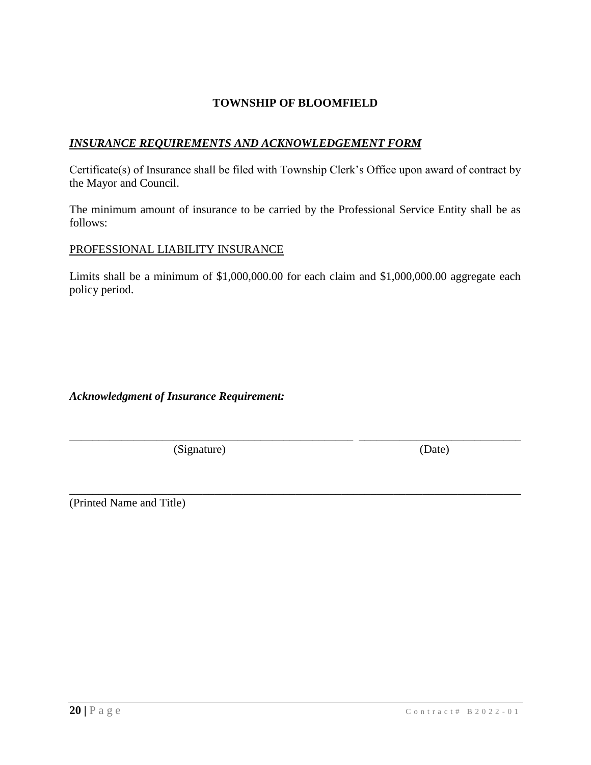# *INSURANCE REQUIREMENTS AND ACKNOWLEDGEMENT FORM*

Certificate(s) of Insurance shall be filed with Township Clerk's Office upon award of contract by the Mayor and Council.

The minimum amount of insurance to be carried by the Professional Service Entity shall be as follows:

### PROFESSIONAL LIABILITY INSURANCE

Limits shall be a minimum of \$1,000,000.00 for each claim and \$1,000,000.00 aggregate each policy period.

\_\_\_\_\_\_\_\_\_\_\_\_\_\_\_\_\_\_\_\_\_\_\_\_\_\_\_\_\_\_\_\_\_\_\_\_\_\_\_\_\_\_\_\_\_\_\_\_\_ \_\_\_\_\_\_\_\_\_\_\_\_\_\_\_\_\_\_\_\_\_\_\_\_\_\_\_\_

\_\_\_\_\_\_\_\_\_\_\_\_\_\_\_\_\_\_\_\_\_\_\_\_\_\_\_\_\_\_\_\_\_\_\_\_\_\_\_\_\_\_\_\_\_\_\_\_\_\_\_\_\_\_\_\_\_\_\_\_\_\_\_\_\_\_\_\_\_\_\_\_\_\_\_\_\_\_

# *Acknowledgment of Insurance Requirement:*

(Signature) (Date)

(Printed Name and Title)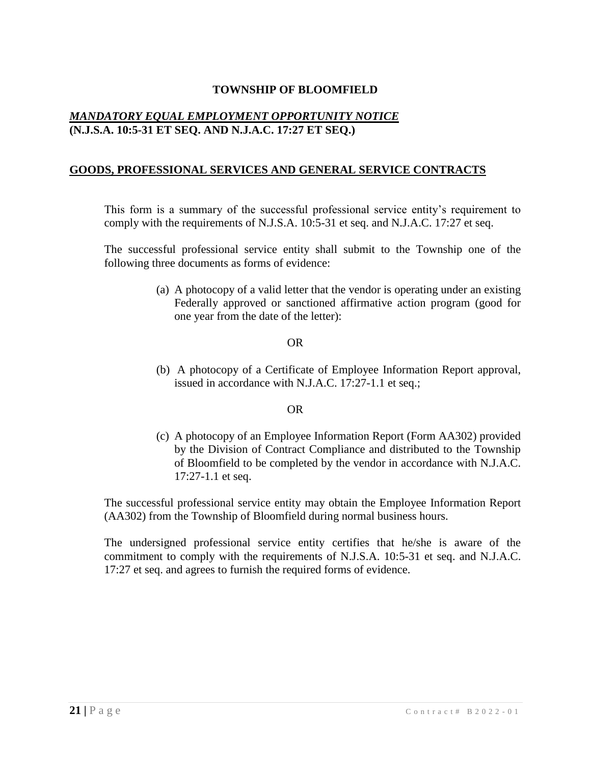# *MANDATORY EQUAL EMPLOYMENT OPPORTUNITY NOTICE* **(N.J.S.A. 10:5-31 ET SEQ. AND N.J.A.C. 17:27 ET SEQ.)**

# **GOODS, PROFESSIONAL SERVICES AND GENERAL SERVICE CONTRACTS**

This form is a summary of the successful professional service entity's requirement to comply with the requirements of N.J.S.A. 10:5-31 et seq. and N.J.A.C. 17:27 et seq.

The successful professional service entity shall submit to the Township one of the following three documents as forms of evidence:

> (a) A photocopy of a valid letter that the vendor is operating under an existing Federally approved or sanctioned affirmative action program (good for one year from the date of the letter):

#### OR

(b) A photocopy of a Certificate of Employee Information Report approval, issued in accordance with N.J.A.C. 17:27-1.1 et seq.;

#### OR

(c) A photocopy of an Employee Information Report (Form AA302) provided by the Division of Contract Compliance and distributed to the Township of Bloomfield to be completed by the vendor in accordance with N.J.A.C. 17:27-1.1 et seq.

The successful professional service entity may obtain the Employee Information Report (AA302) from the Township of Bloomfield during normal business hours.

The undersigned professional service entity certifies that he/she is aware of the commitment to comply with the requirements of N.J.S.A. 10:5-31 et seq. and N.J.A.C. 17:27 et seq. and agrees to furnish the required forms of evidence.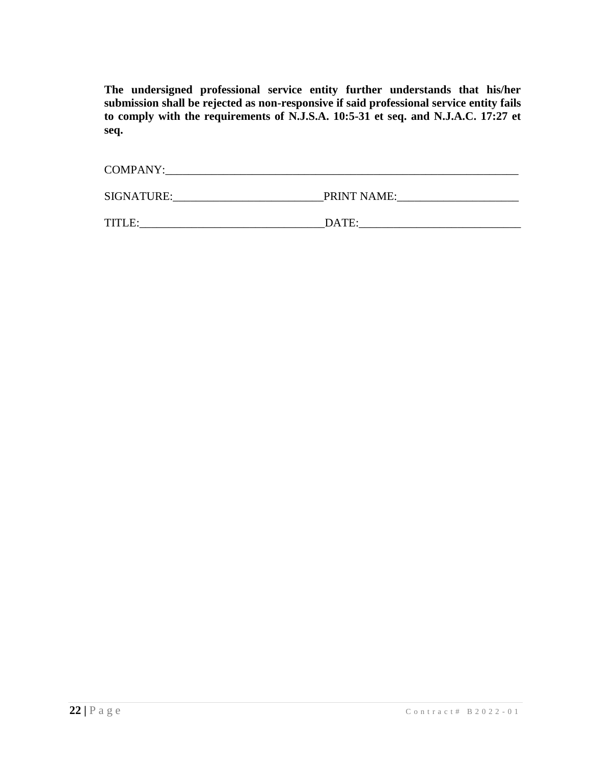**The undersigned professional service entity further understands that his/her submission shall be rejected as non-responsive if said professional service entity fails to comply with the requirements of N.J.S.A. 10:5-31 et seq. and N.J.A.C. 17:27 et seq.**

| <b>COMPANY:</b> |             |
|-----------------|-------------|
| SIGNATURE:      | PRINT NAME: |
| TITLE:          | DATE:       |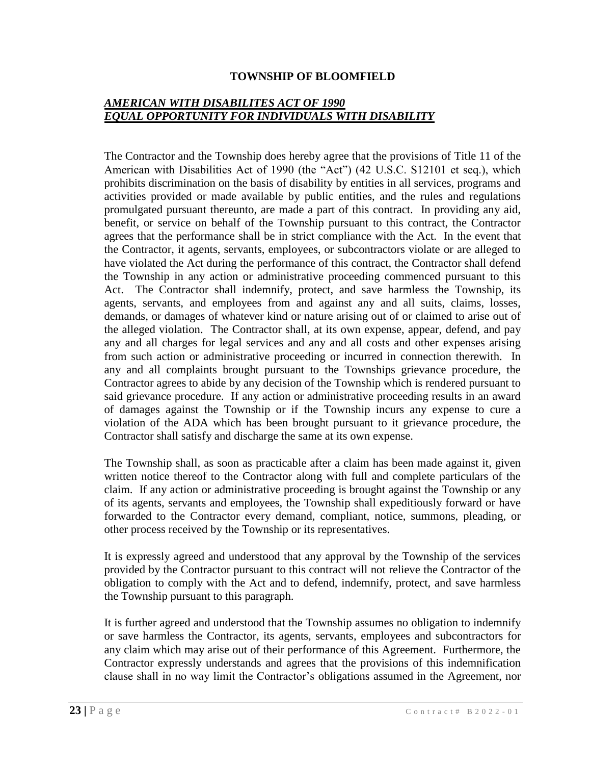# *AMERICAN WITH DISABILITES ACT OF 1990 EQUAL OPPORTUNITY FOR INDIVIDUALS WITH DISABILITY*

The Contractor and the Township does hereby agree that the provisions of Title 11 of the American with Disabilities Act of 1990 (the "Act") (42 U.S.C. S12101 et seq.), which prohibits discrimination on the basis of disability by entities in all services, programs and activities provided or made available by public entities, and the rules and regulations promulgated pursuant thereunto, are made a part of this contract. In providing any aid, benefit, or service on behalf of the Township pursuant to this contract, the Contractor agrees that the performance shall be in strict compliance with the Act. In the event that the Contractor, it agents, servants, employees, or subcontractors violate or are alleged to have violated the Act during the performance of this contract, the Contractor shall defend the Township in any action or administrative proceeding commenced pursuant to this Act. The Contractor shall indemnify, protect, and save harmless the Township, its agents, servants, and employees from and against any and all suits, claims, losses, demands, or damages of whatever kind or nature arising out of or claimed to arise out of the alleged violation. The Contractor shall, at its own expense, appear, defend, and pay any and all charges for legal services and any and all costs and other expenses arising from such action or administrative proceeding or incurred in connection therewith. In any and all complaints brought pursuant to the Townships grievance procedure, the Contractor agrees to abide by any decision of the Township which is rendered pursuant to said grievance procedure. If any action or administrative proceeding results in an award of damages against the Township or if the Township incurs any expense to cure a violation of the ADA which has been brought pursuant to it grievance procedure, the Contractor shall satisfy and discharge the same at its own expense.

The Township shall, as soon as practicable after a claim has been made against it, given written notice thereof to the Contractor along with full and complete particulars of the claim. If any action or administrative proceeding is brought against the Township or any of its agents, servants and employees, the Township shall expeditiously forward or have forwarded to the Contractor every demand, compliant, notice, summons, pleading, or other process received by the Township or its representatives.

It is expressly agreed and understood that any approval by the Township of the services provided by the Contractor pursuant to this contract will not relieve the Contractor of the obligation to comply with the Act and to defend, indemnify, protect, and save harmless the Township pursuant to this paragraph.

It is further agreed and understood that the Township assumes no obligation to indemnify or save harmless the Contractor, its agents, servants, employees and subcontractors for any claim which may arise out of their performance of this Agreement. Furthermore, the Contractor expressly understands and agrees that the provisions of this indemnification clause shall in no way limit the Contractor's obligations assumed in the Agreement, nor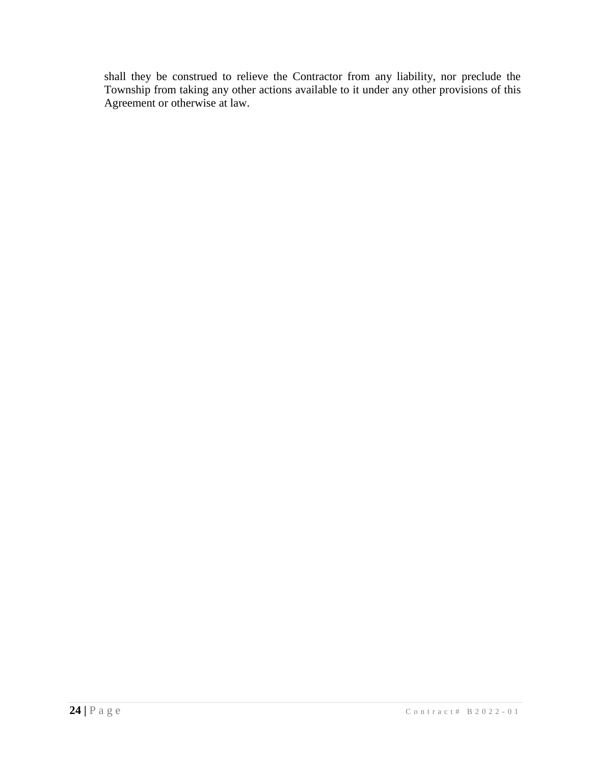shall they be construed to relieve the Contractor from any liability, nor preclude the Township from taking any other actions available to it under any other provisions of this Agreement or otherwise at law.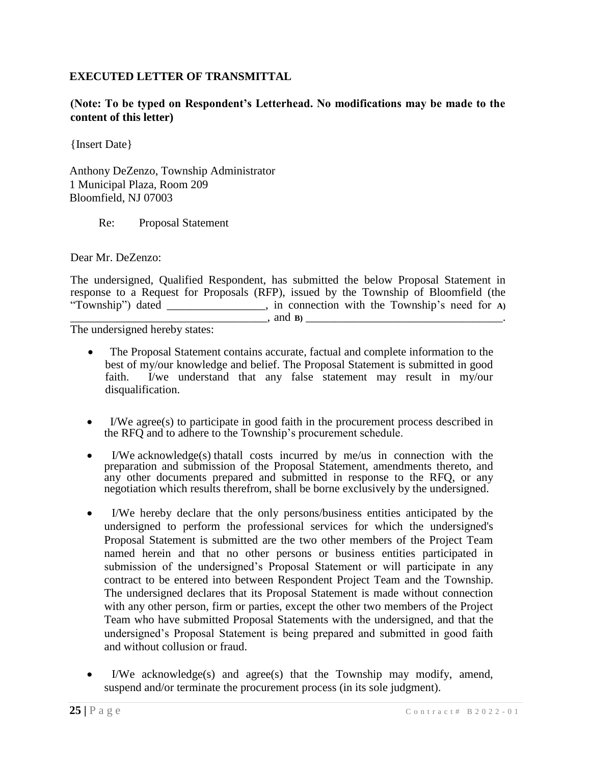# **EXECUTED LETTER OF TRANSMITTAL**

**(Note: To be typed on Respondent's Letterhead. No modifications may be made to the content of this letter)**

{Insert Date}

Anthony DeZenzo, Township Administrator 1 Municipal Plaza, Room 209 Bloomfield, NJ 07003

Re: Proposal Statement

Dear Mr. DeZenzo:

The undersigned, Qualified Respondent, has submitted the below Proposal Statement in response to a Request for Proposals (RFP), issued by the Township of Bloomfield (the "Township") dated \_\_\_\_\_\_\_\_\_\_\_\_\_\_\_\_\_, in connection with the Township's need for **A)**  \_\_\_\_\_\_\_\_\_\_\_\_\_\_\_\_\_\_\_\_\_\_\_\_\_\_\_\_\_\_\_\_\_\_, and **B)** \_\_\_\_\_\_\_\_\_\_\_\_\_\_\_\_\_\_\_\_\_\_\_\_\_\_\_\_\_\_\_\_\_\_.

The undersigned hereby states:

- The Proposal Statement contains accurate, factual and complete information to the best of my/our knowledge and belief. The Proposal Statement is submitted in good faith. I/we understand that any false statement may result in my/our disqualification.
- I/We agree(s) to participate in good faith in the procurement process described in the RFQ and to adhere to the Township's procurement schedule.
- I/We acknowledge(s) thatall costs incurred by me/us in connection with the preparation and submission of the Proposal Statement, amendments thereto, and any other documents prepared and submitted in response to the RFQ, or any negotiation which results therefrom, shall be borne exclusively by the undersigned.
- I/We hereby declare that the only persons/business entities anticipated by the undersigned to perform the professional services for which the undersigned's Proposal Statement is submitted are the two other members of the Project Team named herein and that no other persons or business entities participated in submission of the undersigned's Proposal Statement or will participate in any contract to be entered into between Respondent Project Team and the Township. The undersigned declares that its Proposal Statement is made without connection with any other person, firm or parties, except the other two members of the Project Team who have submitted Proposal Statements with the undersigned, and that the undersigned's Proposal Statement is being prepared and submitted in good faith and without collusion or fraud.
- I/We acknowledge(s) and agree(s) that the Township may modify, amend, suspend and/or terminate the procurement process (in its sole judgment).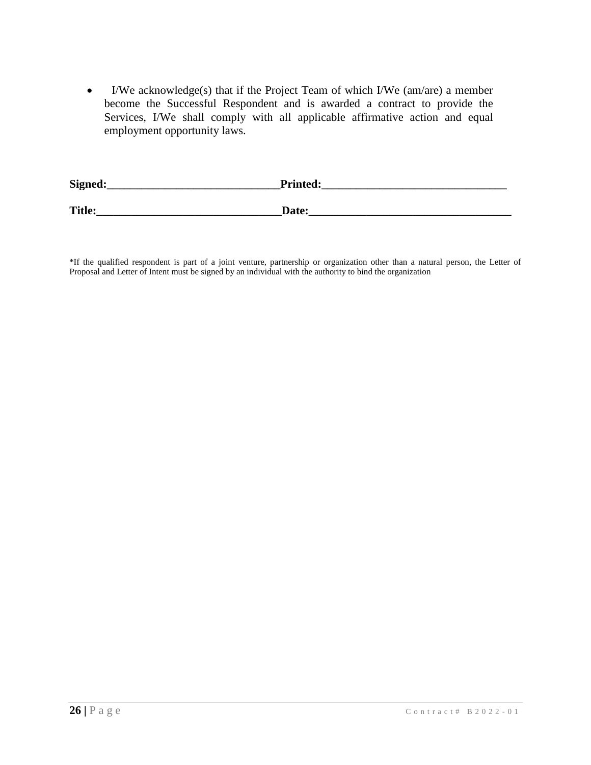I/We acknowledge(s) that if the Project Team of which I/We (am/are) a member become the Successful Respondent and is awarded a contract to provide the Services, I/We shall comply with all applicable affirmative action and equal employment opportunity laws.

| Signed:       | <b>Printed:</b> |
|---------------|-----------------|
| <b>Title:</b> | Date:           |

\*If the qualified respondent is part of a joint venture, partnership or organization other than a natural person, the Letter of Proposal and Letter of Intent must be signed by an individual with the authority to bind the organization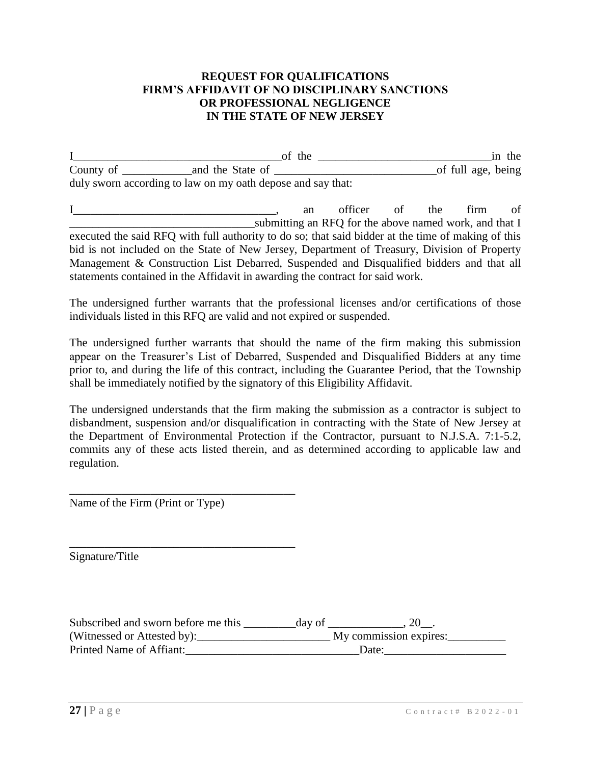### **REQUEST FOR QUALIFICATIONS FIRM'S AFFIDAVIT OF NO DISCIPLINARY SANCTIONS OR PROFESSIONAL NEGLIGENCE IN THE STATE OF NEW JERSEY**

|           | of the                                                      | in the             |
|-----------|-------------------------------------------------------------|--------------------|
| County of | and the State of                                            | of full age, being |
|           | duly sworn according to law on my oath depose and say that: |                    |

I an officer of the firm of \_\_\_\_\_\_\_\_\_\_\_\_\_\_\_\_\_\_\_\_\_\_\_\_\_\_\_\_\_\_\_\_submitting an RFQ for the above named work, and that I executed the said RFQ with full authority to do so; that said bidder at the time of making of this bid is not included on the State of New Jersey, Department of Treasury, Division of Property Management & Construction List Debarred, Suspended and Disqualified bidders and that all statements contained in the Affidavit in awarding the contract for said work.

The undersigned further warrants that the professional licenses and/or certifications of those individuals listed in this RFQ are valid and not expired or suspended.

The undersigned further warrants that should the name of the firm making this submission appear on the Treasurer's List of Debarred, Suspended and Disqualified Bidders at any time prior to, and during the life of this contract, including the Guarantee Period, that the Township shall be immediately notified by the signatory of this Eligibility Affidavit.

The undersigned understands that the firm making the submission as a contractor is subject to disbandment, suspension and/or disqualification in contracting with the State of New Jersey at the Department of Environmental Protection if the Contractor, pursuant to N.J.S.A. 7:1-5.2, commits any of these acts listed therein, and as determined according to applicable law and regulation.

Name of the Firm (Print or Type)

\_\_\_\_\_\_\_\_\_\_\_\_\_\_\_\_\_\_\_\_\_\_\_\_\_\_\_\_\_\_\_\_\_\_\_\_\_\_\_

\_\_\_\_\_\_\_\_\_\_\_\_\_\_\_\_\_\_\_\_\_\_\_\_\_\_\_\_\_\_\_\_\_\_\_\_\_\_\_

Signature/Title

| Subscribed and sworn before me this | day of |                        |  |
|-------------------------------------|--------|------------------------|--|
| (Witnessed or Attested by):         |        | My commission expires: |  |
| Printed Name of Affiant:            |        | Date:                  |  |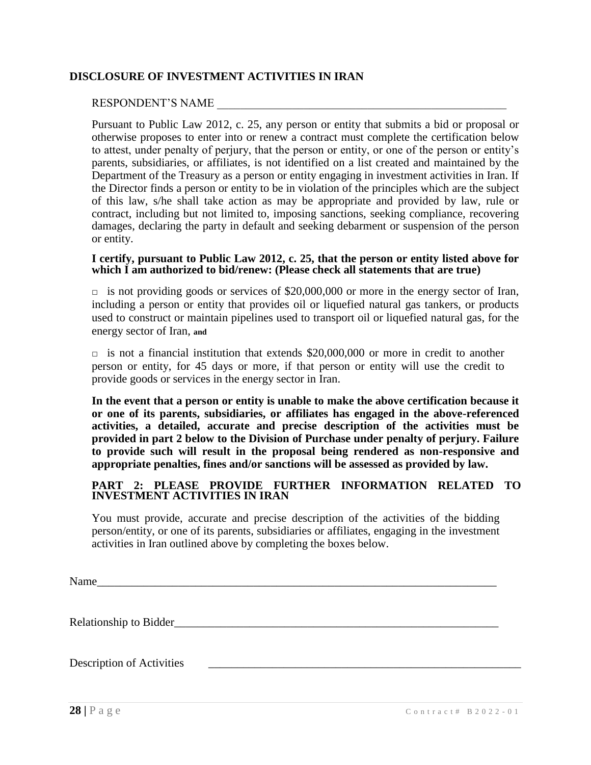# **DISCLOSURE OF INVESTMENT ACTIVITIES IN IRAN**

### RESPONDENT'S NAME

Pursuant to Public Law 2012, c. 25, any person or entity that submits a bid or proposal or otherwise proposes to enter into or renew a contract must complete the certification below to attest, under penalty of perjury, that the person or entity, or one of the person or entity's parents, subsidiaries, or affiliates, is not identified on a list created and maintained by the Department of the Treasury as a person or entity engaging in investment activities in Iran. If the Director finds a person or entity to be in violation of the principles which are the subject of this law, s/he shall take action as may be appropriate and provided by law, rule or contract, including but not limited to, imposing sanctions, seeking compliance, recovering damages, declaring the party in default and seeking debarment or suspension of the person or entity.

#### **I certify, pursuant to Public Law 2012, c. 25, that the person or entity listed above for**  which I am authorized to bid/renew: (Please check all statements that are true)

 $\Box$  is not providing goods or services of \$20,000,000 or more in the energy sector of Iran, including a person or entity that provides oil or liquefied natural gas tankers, or products used to construct or maintain pipelines used to transport oil or liquefied natural gas, for the energy sector of Iran, **and**

 $\Box$  is not a financial institution that extends \$20,000,000 or more in credit to another person or entity, for 45 days or more, if that person or entity will use the credit to provide goods or services in the energy sector in Iran.

**In the event that a person or entity is unable to make the above certification because it or one of its parents, subsidiaries, or affiliates has engaged in the above-referenced activities, a detailed, accurate and precise description of the activities must be provided in part 2 below to the Division of Purchase under penalty of perjury. Failure to provide such will result in the proposal being rendered as non-responsive and appropriate penalties, fines and/or sanctions will be assessed as provided by law.**

#### **PART 2: PLEASE PROVIDE FURTHER INFORMATION RELATED TO INVESTMENT ACTIVITIES IN IRAN**

You must provide, accurate and precise description of the activities of the bidding person/entity, or one of its parents, subsidiaries or affiliates, engaging in the investment activities in Iran outlined above by completing the boxes below.

Name

Relationship to Bidder

Description of Activities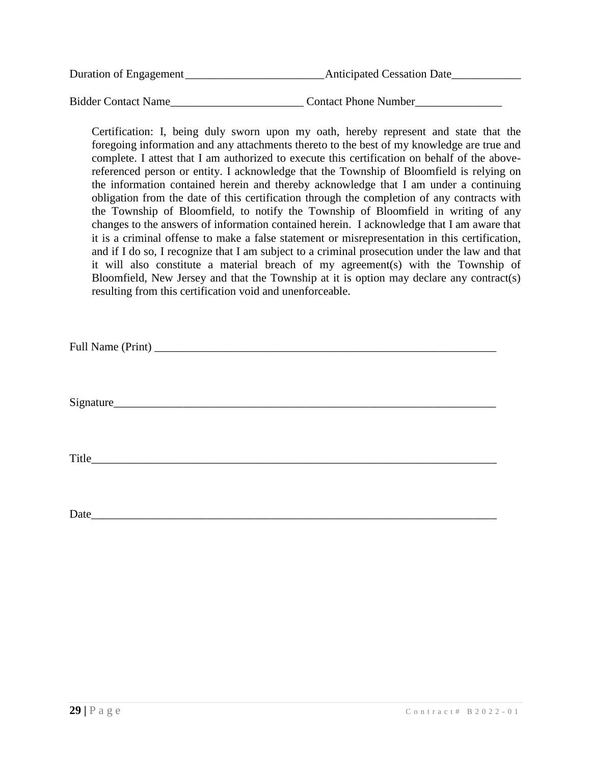| Duration of Engagement | <b>Anticipated Cessation Date</b> |
|------------------------|-----------------------------------|
|                        |                                   |
| Bidder Contact Name    | <b>Contact Phone Number</b>       |

Certification: I, being duly sworn upon my oath, hereby represent and state that the foregoing information and any attachments thereto to the best of my knowledge are true and complete. I attest that I am authorized to execute this certification on behalf of the abovereferenced person or entity. I acknowledge that the Township of Bloomfield is relying on the information contained herein and thereby acknowledge that I am under a continuing obligation from the date of this certification through the completion of any contracts with the Township of Bloomfield, to notify the Township of Bloomfield in writing of any changes to the answers of information contained herein. I acknowledge that I am aware that it is a criminal offense to make a false statement or misrepresentation in this certification, and if I do so, I recognize that I am subject to a criminal prosecution under the law and that it will also constitute a material breach of my agreement(s) with the Township of Bloomfield, New Jersey and that the Township at it is option may declare any contract(s) resulting from this certification void and unenforceable.

| Full Name (Print) |  |
|-------------------|--|
|-------------------|--|

Signature\_\_\_\_\_\_\_\_\_\_\_\_\_\_\_\_\_\_\_\_\_\_\_\_\_\_\_\_\_\_\_\_\_\_\_\_\_\_\_\_\_\_\_\_\_\_\_\_\_\_\_\_\_\_\_\_\_\_\_\_\_\_\_\_\_\_

Title

Date\_\_\_\_\_\_\_\_\_\_\_\_\_\_\_\_\_\_\_\_\_\_\_\_\_\_\_\_\_\_\_\_\_\_\_\_\_\_\_\_\_\_\_\_\_\_\_\_\_\_\_\_\_\_\_\_\_\_\_\_\_\_\_\_\_\_\_\_\_\_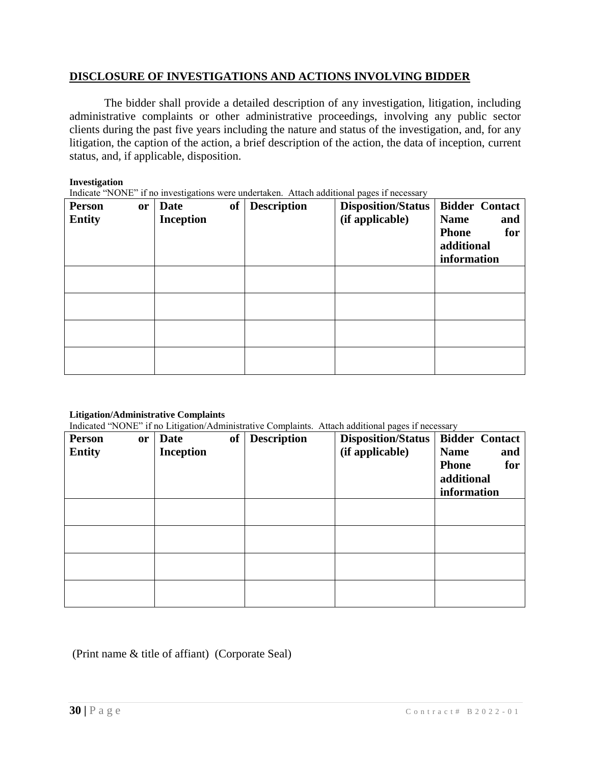### **DISCLOSURE OF INVESTIGATIONS AND ACTIONS INVOLVING BIDDER**

The bidder shall provide a detailed description of any investigation, litigation, including administrative complaints or other administrative proceedings, involving any public sector clients during the past five years including the nature and status of the investigation, and, for any litigation, the caption of the action, a brief description of the action, the data of inception, current status, and, if applicable, disposition.

#### **Investigation**

Indicate "NONE" if no investigations were undertaken. Attach additional pages if necessary

| <b>Person</b><br><b>Entity</b> | <b>or</b> | <b>of</b><br><b>Date</b><br><b>Inception</b> | <b>Description</b> | <b>Disposition/Status</b><br>(if applicable) | <b>Bidder Contact</b><br><b>Name</b><br>and<br><b>Phone</b><br>for<br>additional<br>information |
|--------------------------------|-----------|----------------------------------------------|--------------------|----------------------------------------------|-------------------------------------------------------------------------------------------------|
|                                |           |                                              |                    |                                              |                                                                                                 |
|                                |           |                                              |                    |                                              |                                                                                                 |
|                                |           |                                              |                    |                                              |                                                                                                 |
|                                |           |                                              |                    |                                              |                                                                                                 |

#### **Litigation/Administrative Complaints**

Indicated "NONE" if no Litigation/Administrative Complaints. Attach additional pages if necessary

| <b>Person</b><br><b>Entity</b> | or | ntente 1,01,2 n no 21.15 months and the main second<br>of<br>Date<br><b>Inception</b> | <b>Description</b> | <b>Disposition/Status</b><br>(if applicable) | <b>Bidder Contact</b><br><b>Name</b><br>and<br>for<br><b>Phone</b><br>additional |
|--------------------------------|----|---------------------------------------------------------------------------------------|--------------------|----------------------------------------------|----------------------------------------------------------------------------------|
|                                |    |                                                                                       |                    |                                              | information                                                                      |
|                                |    |                                                                                       |                    |                                              |                                                                                  |
|                                |    |                                                                                       |                    |                                              |                                                                                  |
|                                |    |                                                                                       |                    |                                              |                                                                                  |
|                                |    |                                                                                       |                    |                                              |                                                                                  |

# (Print name & title of affiant) (Corporate Seal)